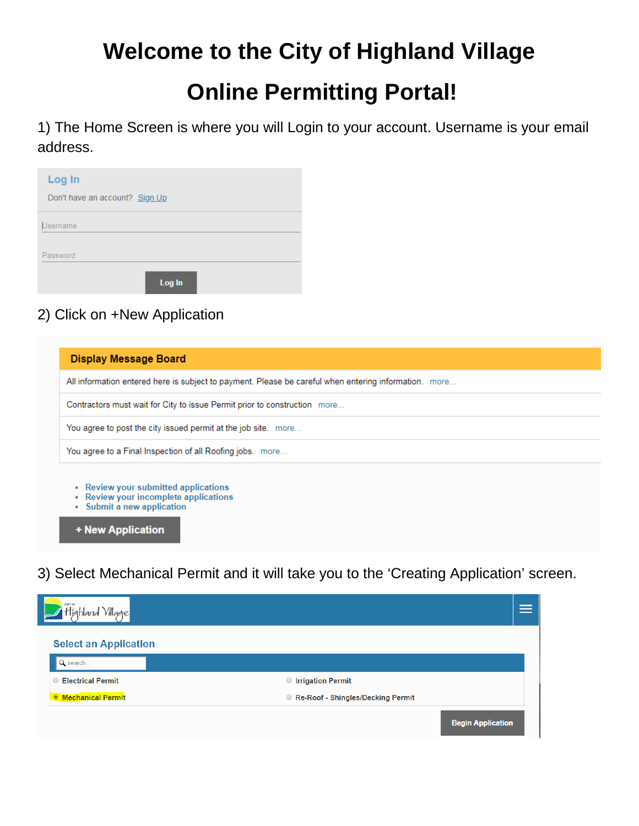## **Welcome to the City of Highland Village**

# **Online Permitting Portal!**

1) The Home Screen is where you will Login to your account. Username is your email address.

| Log In                         |
|--------------------------------|
| Don't have an account? Sign Up |
| Username                       |
| Password                       |
| Log In                         |

#### 2) Click on +New Application

| <b>Display Message Board</b>                                                                                                              |
|-------------------------------------------------------------------------------------------------------------------------------------------|
| All information entered here is subject to payment. Please be careful when entering information. more                                     |
| Contractors must wait for City to issue Permit prior to construction more                                                                 |
| You agree to post the city issued permit at the job site. more                                                                            |
| You agree to a Final Inspection of all Roofing jobs. more                                                                                 |
| Review your submitted applications<br>٠<br>Review your incomplete applications<br>٠<br>Submit a new application<br>۰<br>+ New Application |

3) Select Mechanical Permit and it will take you to the 'Creating Application' screen.

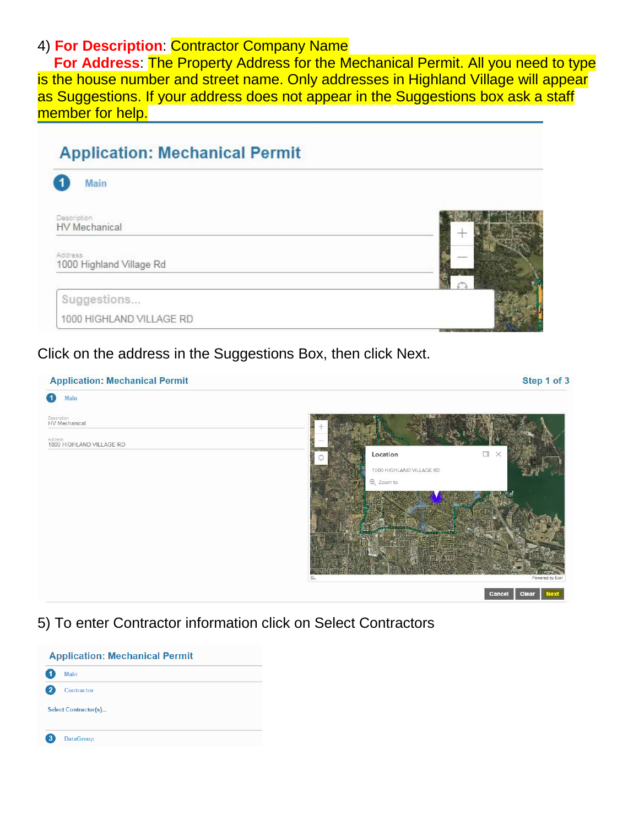#### 4) **For Description**: Contractor Company Name

 **For Address**: The Property Address for the Mechanical Permit. All you need to type is the house number and street name. Only addresses in Highland Village will appear as Suggestions. If your address does not appear in the Suggestions box ask a staff member for help.

### **Application: Mechanical Permit**



#### Click on the address in the Suggestions Box, then click Next.

| <b>Application: Mechanical Permit</b> | Step 1 of 3                                                               |
|---------------------------------------|---------------------------------------------------------------------------|
| 0<br>Main                             |                                                                           |
| Description<br>HV Mechanical          |                                                                           |
| Address<br>1000 HIGHLAND VILLAGE RD   |                                                                           |
|                                       | $\qquad \qquad \Box \; \; \times$<br>Location<br>1000 HIGHLAND VILLAGE RD |
|                                       | Q Zoom to                                                                 |
|                                       |                                                                           |
|                                       |                                                                           |
|                                       | n r<br><b>britis</b>                                                      |
|                                       | A 855                                                                     |
|                                       | Powered by Esri<br>SL.                                                    |
|                                       | Clear Next<br>Cancel                                                      |

5) To enter Contractor information click on Select Contractors

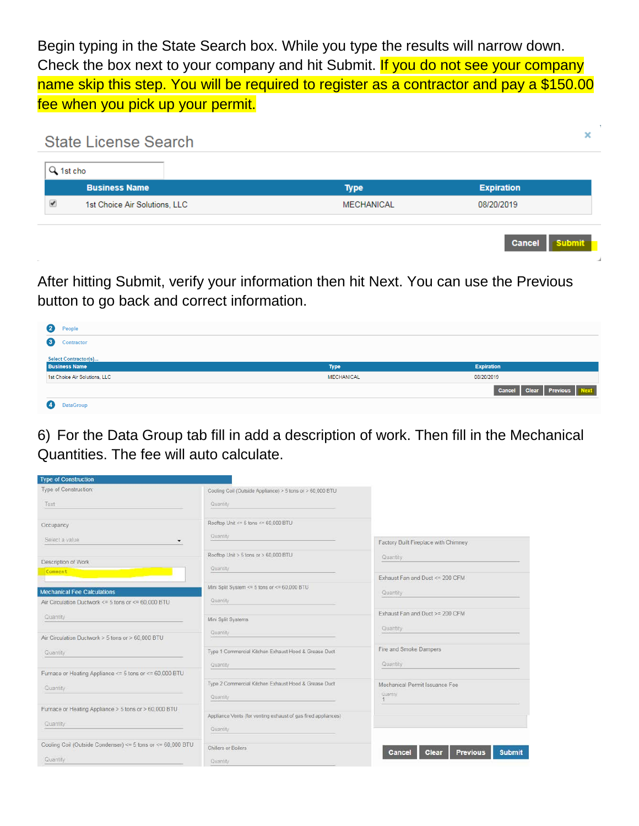Begin typing in the State Search box. While you type the results will narrow down. Check the box next to your company and hit Submit. If you do not see your company name skip this step. You will be required to register as a contractor and pay a \$150.00 fee when you pick up your permit.



After hitting Submit, verify your information then hit Next. You can use the Previous button to go back and correct information.

| 2<br>People                   |                   |                               |
|-------------------------------|-------------------|-------------------------------|
| $\bullet$<br>Contractor       |                   |                               |
| <b>Select Contractor(s)</b>   |                   |                               |
| <b>Business Name</b>          | <b>Type</b>       | <b>Expiration</b>             |
| 1st Choice Air Solutions, LLC | <b>MECHANICAL</b> | 08/20/2019                    |
|                               |                   | Clear Previous Next<br>Cancel |
| <b>DataGroup</b>              |                   |                               |

6) For the Data Group tab fill in add a description of work. Then fill in the Mechanical Quantities. The fee will auto calculate.

| <b>Type of Construction</b>                                             |                                                                           |                                                     |
|-------------------------------------------------------------------------|---------------------------------------------------------------------------|-----------------------------------------------------|
| Type of Construction:                                                   | Cooling Coil (Outside Appliance) > 5 tons or > 60,000 BTU                 |                                                     |
| Text                                                                    | Quantity                                                                  |                                                     |
| Occupancy                                                               | Rooftop Unit <= $5$ tons <= $60,000$ BTU                                  |                                                     |
| Select a value                                                          | Quantity                                                                  | Factory Built Fireplace with Chimney                |
| Description of Work                                                     | Rooftop Unit > 5 tons or > 60,000 BTU                                     | Quantity                                            |
| Comment                                                                 | Quantity                                                                  | Exhaust Fan and Duct <= 200 CFM                     |
| <b>Mechanical Fee Calculations</b>                                      | Mini Split System <= 5 tons or <= 60,000 BTU                              | Quantity                                            |
| Air Circulation Ductwork <= 5 tons or <= 60,000 BTU                     | Quantity                                                                  |                                                     |
| Quantity                                                                | Mini Split Systems                                                        | Exhaust Fan and Duct >= 200 CFM<br>Quantity         |
| Air Circulation Ductwork > 5 tons or > 60 000 BTU                       | Quantity                                                                  |                                                     |
| Quantity                                                                | Type 1 Commercial Kitchen Exhaust Hood & Grease Duct<br>Quantity          | Fire and Smoke Dampers<br>Quantity                  |
| Furnace or Heating Appliance <= 5 tons or <= 60,000 BTU                 |                                                                           |                                                     |
| Quantity.                                                               | Type 2 Commercial Kitchen Exhaust Hood & Grease Duct<br>Quantity          | Mechanical Permit Issuance Fee<br>Quantity          |
| Furnace or Heating Appliance > 5 tons or > 60,000 BTU                   |                                                                           |                                                     |
| Quantity                                                                | Appliance Vents (for venting exhaust of gas fired appliances)<br>Quantity |                                                     |
|                                                                         |                                                                           |                                                     |
| Cooling Coil (Outside Condenser) <= 5 tons or <= 60,000 BTU<br>Quantity | Chillers or Boilers<br>Quantity                                           | Clear<br><b>Previous</b><br><b>Submit</b><br>Cancel |